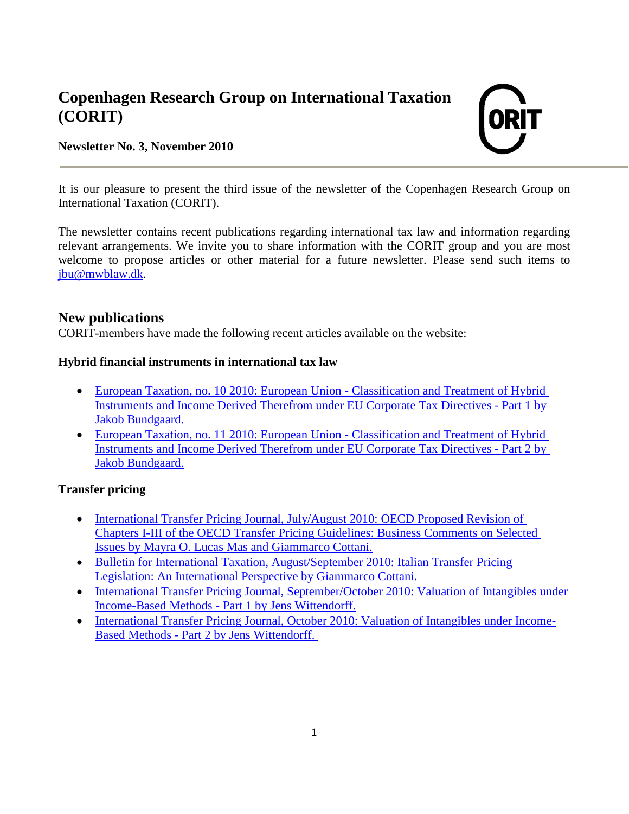# **Copenhagen Research Group on International Taxation (CORIT)**

### **Newsletter No. 3, November 2010**



It is our pleasure to present the third issue of the newsletter of the Copenhagen Research Group on International Taxation (CORIT).

The newsletter contains recent publications regarding international tax law and information regarding relevant arrangements. We invite you to share information with the CORIT group and you are most welcome to propose articles or other material for a future newsletter. Please send such items to [jbu@mwblaw.dk.](mailto:jbu@mwblaw.dk)

## **New publications**

CORIT-members have made the following recent articles available on the website:

#### **Hybrid financial instruments in international tax law**

- [European Taxation, no. 10 2010: European Union -](http://corit.dk/login/spaw2/uploads/files/EU%20Directives%20part%201.pdf) Classification and Treatment of Hybrid [Instruments and Income Derived Therefrom under](http://corit.dk/login/spaw2/uploads/files/EU%20Directives%20part%201.pdf) EU Corporate Tax Directives - Part 1 by [Jakob Bundgaard.](http://corit.dk/login/spaw2/uploads/files/EU%20Directives%20part%201.pdf)
- [European Taxation, no. 11 2010: European Union -](http://corit.dk/login/spaw2/uploads/files/Classification%20and%20treatment%20of%20hybrid%20financial%20instruments%20and%20income%20derived%20therefrom%20under%20EU%20corporate%20tax%20directives%20part%202.pdf) Classification and Treatment of Hybrid [Instruments and Income Derived Therefrom under EU Corporate Tax Directives -](http://corit.dk/login/spaw2/uploads/files/Classification%20and%20treatment%20of%20hybrid%20financial%20instruments%20and%20income%20derived%20therefrom%20under%20EU%20corporate%20tax%20directives%20part%202.pdf) Part 2 by [Jakob Bundgaard.](http://corit.dk/login/spaw2/uploads/files/Classification%20and%20treatment%20of%20hybrid%20financial%20instruments%20and%20income%20derived%20therefrom%20under%20EU%20corporate%20tax%20directives%20part%202.pdf)

#### **Transfer pricing**

- International Transfer Pricing Journal, July/August 2010: OECD Proposed Revision of [Chapters I-III of the OECD Transfer Pricing Guidelines: Business Comments on Selected](http://corit.dk/login/spaw2/uploads/files/OECD%20Proposed%20revision%20of%20chaptars%20I-III.pdf)  [Issues by Mayra O. Lucas Mas and Giammarco Cottani.](http://corit.dk/login/spaw2/uploads/files/OECD%20Proposed%20revision%20of%20chaptars%20I-III.pdf)
- [Bulletin for International Taxation, August/September 2010: Italian Transfer Pricing](http://corit.dk/login/spaw2/uploads/files/Italian%20Transfer%20Pricing%20Legislation.pdf)  [Legislation: An International Perspective by Giammarco Cottani.](http://corit.dk/login/spaw2/uploads/files/Italian%20Transfer%20Pricing%20Legislation.pdf)
- [International Transfer Pricing Journal, September/October 2010: Valuation of Intangibles under](http://corit.dk/login/spaw2/uploads/files/Valuation%20of%20Intangibles.pdf)  Income-Based Methods - [Part 1 by Jens Wittendorff.](http://corit.dk/login/spaw2/uploads/files/Valuation%20of%20Intangibles.pdf)
- [International Transfer Pricing Journal, October 2010: Valuation of Intangibles under Income-](http://corit.dk/login/spaw2/uploads/files/International%20valuation%20of%20intangibles%20under%20income-based%20methods%20-%20part%202.pdf)Based Methods - [Part 2 by Jens Wittendorff.](http://corit.dk/login/spaw2/uploads/files/International%20valuation%20of%20intangibles%20under%20income-based%20methods%20-%20part%202.pdf)